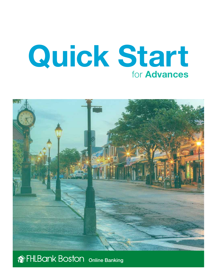



# **THLBANK BOSTON** Online Banking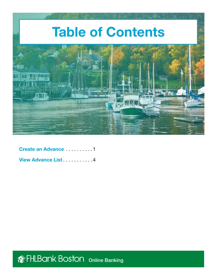

[Create an Advance](#page-2-0) . . . . . . . . . 1

[View Advance List](#page-5-0) . . . . . . . . . 4

**合 FHLBank Boston** online Banking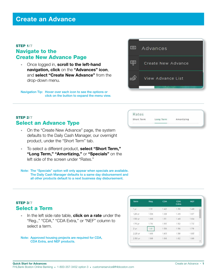## <span id="page-2-0"></span>STEP 1/7 Navigate to the Create New Advance Page

• Once logged in, scroll to the left-hand navigation, click on the "Advances" icon, and select "Create New Advance" from the drop-down menu.

Navigation Tip: Hover over each icon to see the options or click on the button to expand the menu view.



# **STEP 2/7** Select an Advance Type

- On the "Create New Advance" page, the system defaults to the Daily Cash Manager, our overnight product, under the "Short Term" tab.
- To select a different product, select "Short Term," "Long Term," "Amortizing," or "Specials" on the left side of the screen under "Rates."

Note: The "Specials" option will only appear when specials are available. The Daily Cash Manager defaults to a same day disbursement and all other products default to a next business day disbursement.

## **STEP 3/7** Select a Term

- In the left side rate table, **click on a rate** under the "Reg.," "CDA," "CDA Extra," or "NEF" column to select a term.
- Note: Approved housing projects are required for CDA, CDA Extra, and NEF products.

| Term      | Reg   | CDA      | <b>CDA</b><br><b>Extra</b> | NEF     |  |
|-----------|-------|----------|----------------------------|---------|--|
| 7 yr      | 1.51  | 1.42     | 1:39                       | 1.49    |  |
| $1.25$ yr | 1.59. | 1.48     | 1.45                       | 1.57    |  |
| 1.50 yr   | 1.66  | T, 51    | 1.48                       | 1.64    |  |
| 1.75 yr   | 1.74  | 1.55     | 1.52                       | 1.72    |  |
| 2yr       | 1:81. | 1.59     | 1.56                       | 7.79    |  |
| 2:25 yr   | 1.85  | $1.63 -$ | 1.58                       | $-1.83$ |  |
| 2.50 yr   | 188   | 1.66     | 1.62                       | 1.86    |  |

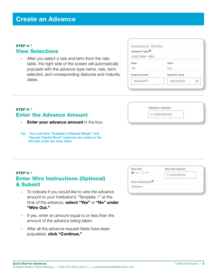### STEP 4/7 View Selections

• After you select a rate and term from the rate table, the right side of the screen will *automatically populate* with the advance type name, rate, term selected, and corresponding disburse and maturity dates.

| Advance Type     |                 |
|------------------|-----------------|
| LONG TERM - REG. |                 |
| Rate             | Term            |
| 1.81             | 2yr             |
| Disburse Date    | Maturity Date   |
| 09/21/2017       | 09/23/2019<br>w |

## **STEP 5/7** Enter the Advance Amount

- **Enter your advance amount** in the box.
- Tip: Your real-time "Available Collateral Margin" and "Excess Capital Stock" balances are noted on the left side under the rates table.

| <b>Advance Amount</b>                   |  |
|-----------------------------------------|--|
| \$5,000,000.00<br>とこく ショック こうかい コンピックスト |  |

# **STEP 6/7** Enter Wire Instructions (Optional) & Submit

- "Wire Out." • To indicate if you would like to wire the advance amount to your institution's "Template 1" at the time of the advance, select "Yes" or "No" under
- If yes, enter an amount equal to or less than the amount of the advance being taken.
- After all the advance request fields have been populated, click "Continue."

| Wire Out                            | Wire Out Amount |  |  |  |
|-------------------------------------|-----------------|--|--|--|
| $\bullet$ Yes $\bigcirc$ No         | \$5,000,000.00  |  |  |  |
| Wire Instructions <sup>0</sup>      |                 |  |  |  |
| ひとうせんしょう ようけん シーン・ソース<br>Template 1 |                 |  |  |  |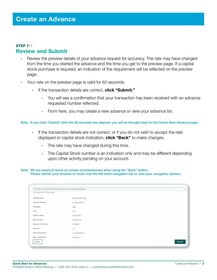## STEP 7/7 Review and Submit

- Review the preview details of your advance request for accuracy. The rate may have changed from the time you started the advance and the time you get to the preview page. If a capital stock purchase is required, an indication of the requirement will be reflected on the preview page.
- Your rate on the preview page is valid for 60 seconds.
	- If the transaction details are correct, **click "Submit."** 
		- You will see a confirmation that your transaction has been received with an advance requested number reflected.
		- From here, you may create a new advance or view your advance list.

Note: If you click "Submit" after the 60 seconds has elapsed, you will be brought back to the Create New Advance page.

- If the transaction details are not correct, or if you do not wish to accept the rate displayed or capital stock indication, **click "Back"** to make changes.
	- The rate may have changed during this time.
	- The Capital Stock number is an indication only and may be different depending upon other activity pending on your account.

Note: We are aware of some on-screen inconsistencies when using the "Back" button. Please refresh your browser or hover over the left-hand navigation bar to view your navigation options.

| This rate is wild for 60 seconds. Please submit to initiate the advance. |                                                    |               |
|--------------------------------------------------------------------------|----------------------------------------------------|---------------|
| Advance Preview                                                          |                                                    |               |
| <b>MONOGRAPH</b><br>Advance Type<br>1940. DE 4                           | SASKA KINDOLEN MARTIN<br>LONG TERM - REC<br>フォリウイオ |               |
| Attracce Amount<br>ng Sul                                                | 15.000.000.00<br>1968-1979 To No                   |               |
| Final Bate<br><b>CALL FREQUE 200</b>                                     | <b>188</b><br>.                                    |               |
| 280m                                                                     | zylp.                                              |               |
| Disburse Date<br>-------                                                 | 09/22/2017                                         |               |
| Maturity Date                                                            | 09/23/2018                                         |               |
| <b>Disburse To Account</b>                                               | 01214567                                           |               |
| <b>MARINE AREA</b><br>Wire Out.                                          | $\eta_{\rm{IR}}$                                   |               |
| AND CONTRACTOR CONTRACT<br>Wite Out Amount                               | Post convent<br>5,000,000,00                       |               |
| 민이 있었다. [ ], [ ]<br>Wira Illatructions                                   | Template 1                                         |               |
| Back                                                                     |                                                    | <b>Submit</b> |